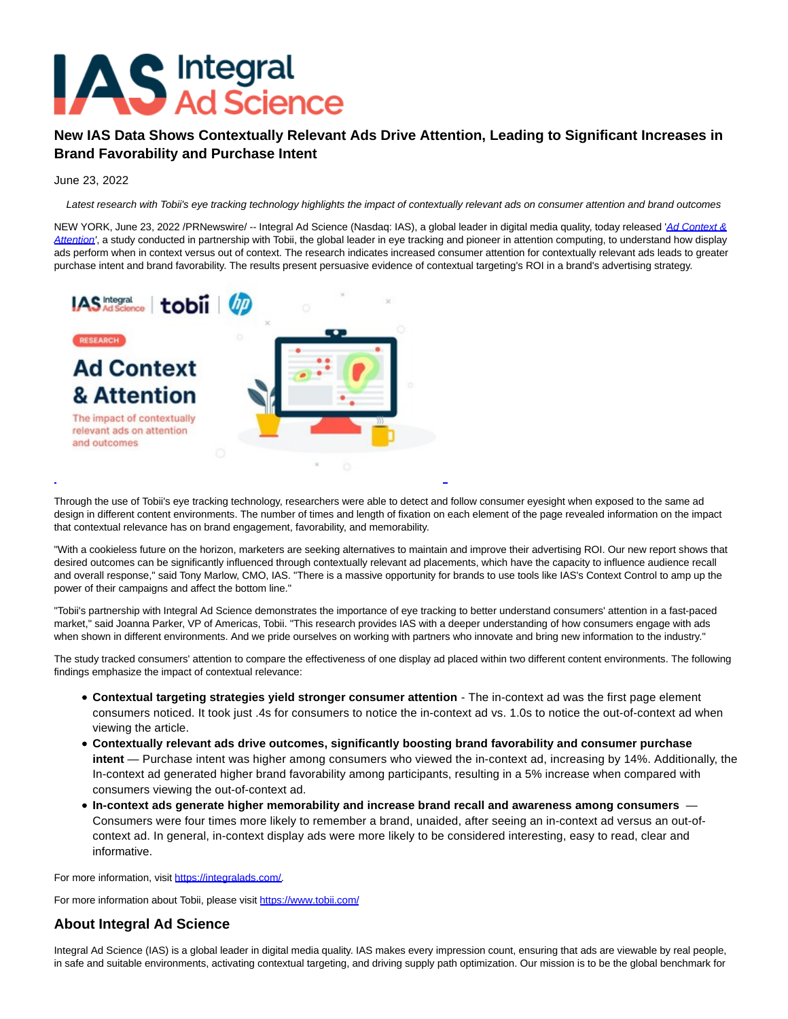

## **New IAS Data Shows Contextually Relevant Ads Drive Attention, Leading to Significant Increases in Brand Favorability and Purchase Intent**

June 23, 2022

Latest research with Tobii's eye tracking technology highlights the impact of contextually relevant ads on consumer attention and brand outcomes

NEW YORK, June 23, 2022 /PRNewswire/ -- Integral Ad Science (Nasdaq: IAS), a global leader in digital media quality, today released '[Ad Context &](https://c212.net/c/link/?t=0&l=en&o=3575532-1&h=1556203071&u=https%3A%2F%2Fgo.integralads.com%2FAd_Context_Consumer_Eye_Tracking_Study.html%3Futm_campaign%3DGLB-MQ-EML-2022-Q2-CP-EDU-BSSS-Attention-and-Eyetracking-Research%26utm_medium%3Dpr%26utm_source%3DPR-Newswire%26utm_content%3Dcontextual-targeting%26utm_term%3DEye-tracking-attention-metrics&a=Ad+Context+%26+Attention) Attention', a study conducted in partnership with Tobii, the global leader in eye tracking and pioneer in attention computing, to understand how display ads perform when in context versus out of context. The research indicates increased consumer attention for contextually relevant ads leads to greater purchase intent and brand favorability. The results present persuasive evidence of contextual targeting's ROI in a brand's advertising strategy.



Through the use of Tobii's eye tracking technology, researchers were able to detect and follow consumer eyesight when exposed to the same ad design in different content environments. The number of times and length of fixation on each element of the page revealed information on the impact that contextual relevance has on brand engagement, favorability, and memorability.

L

"With a cookieless future on the horizon, marketers are seeking alternatives to maintain and improve their advertising ROI. Our new report shows that desired outcomes can be significantly influenced through contextually relevant ad placements, which have the capacity to influence audience recall and overall response," said Tony Marlow, CMO, IAS. "There is a massive opportunity for brands to use tools like IAS's Context Control to amp up the power of their campaigns and affect the bottom line."

"Tobii's partnership with Integral Ad Science demonstrates the importance of eye tracking to better understand consumers' attention in a fast-paced market," said Joanna Parker, VP of Americas, Tobii. "This research provides IAS with a deeper understanding of how consumers engage with ads when shown in different environments. And we pride ourselves on working with partners who innovate and bring new information to the industry."

The study tracked consumers' attention to compare the effectiveness of one display ad placed within two different content environments. The following findings emphasize the impact of contextual relevance:

- **Contextual targeting strategies yield stronger consumer attention**  The in-context ad was the first page element consumers noticed. It took just .4s for consumers to notice the in-context ad vs. 1.0s to notice the out-of-context ad when viewing the article.
- **Contextually relevant ads drive outcomes, significantly boosting brand favorability and consumer purchase intent** — Purchase intent was higher among consumers who viewed the in-context ad, increasing by 14%. Additionally, the In-context ad generated higher brand favorability among participants, resulting in a 5% increase when compared with consumers viewing the out-of-context ad.
- **In-context ads generate higher memorability and increase brand recall and awareness among consumers** Consumers were four times more likely to remember a brand, unaided, after seeing an in-context ad versus an out-ofcontext ad. In general, in-context display ads were more likely to be considered interesting, easy to read, clear and informative.

For more information, visit [https://integralads.com/.](https://c212.net/c/link/?t=0&l=en&o=3575532-1&h=1471498179&u=https%3A%2F%2Fintegralads.com%2F&a=https%3A%2F%2Fintegralads.com%2F)

For more information about Tobii, please visit [https://www.tobii.com/](https://c212.net/c/link/?t=0&l=en&o=3575532-1&h=795633018&u=https%3A%2F%2Fwww.tobii.com%2F&a=https%3A%2F%2Fwww.tobii.com%2F)

## **About Integral Ad Science**

Integral Ad Science (IAS) is a global leader in digital media quality. IAS makes every impression count, ensuring that ads are viewable by real people, in safe and suitable environments, activating contextual targeting, and driving supply path optimization. Our mission is to be the global benchmark for